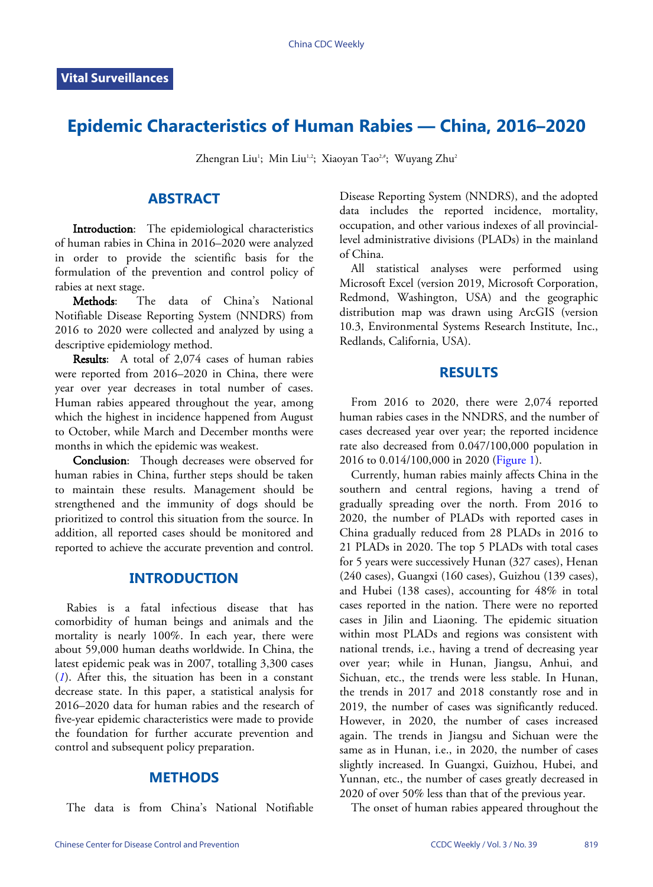# **Epidemic Characteristics of Human Rabies — China, 2016–2020**

Zhengran Liu<sup>1</sup>; Min Liu<sup>1,2</sup>; Xiaoyan Tao<sup>2,#</sup>; Wuyang Zhu<sup>2</sup>

## **ABSTRACT**

Introduction: The epidemiological characteristics of human rabies in China in 2016–2020 were analyzed in order to provide the scientific basis for the formulation of the prevention and control policy of rabies at next stage.

Methods: The data of China's National Notifiable Disease Reporting System (NNDRS) from 2016 to 2020 were collected and analyzed by using a descriptive epidemiology method.

Results: A total of 2,074 cases of human rabies were reported from 2016–2020 in China, there were year over year decreases in total number of cases. Human rabies appeared throughout the year, among which the highest in incidence happened from August to October, while March and December months were months in which the epidemic was weakest.

Conclusion: Though decreases were observed for human rabies in China, further steps should be taken to maintain these results. Management should be strengthened and the immunity of dogs should be prioritized to control this situation from the source. In addition, all reported cases should be monitored and reported to achieve the accurate prevention and control.

# **INTRODUCTION**

Rabies is a fatal infectious disease that has comorbidity of human beings and animals and the mortality is nearly 100%. In each year, there were about 59,000 human deaths worldwide. In China, the l[at](#page-2-0)est epidemic peak was in 2007, totalling 3,300 cases (*[1](#page-2-0)*). After this, the situation has been in a constant decrease state. In this paper, a statistical analysis for 2016–2020 data for human rabies and the research of five-year epidemic characteristics were made to provide the foundation for further accurate prevention and control and subsequent policy preparation.

### **METHODS**

The data is from China's National Notifiable

Disease Reporting System (NNDRS), and the adopted data includes the reported incidence, mortality, occupation, and other various indexes of all provinciallevel administrative divisions (PLADs) in the mainland of China.

All statistical analyses were performed using Microsoft Excel (version 2019, Microsoft Corporation, Redmond, Washington, USA) and the geographic distribution map was drawn using ArcGIS (version 10.3, Environmental Systems Research Institute, Inc., Redlands, California, USA).

### **RESULTS**

From 2016 to 2020, there were 2,074 reported human rabies cases in the NNDRS, and the number of cases decreased year over year; the reported incidence rate also decreased from 0.047/100,000 population in 2016 to 0.014/100,000 in 2020 [\(Figure 1\)](#page-1-0).

Currently, human rabies mainly affects China in the southern and central regions, having a trend of gradually spreading over the north. From 2016 to 2020, the number of PLADs with reported cases in China gradually reduced from 28 PLADs in 2016 to 21 PLADs in 2020. The top 5 PLADs with total cases for 5 years were successively Hunan (327 cases), Henan (240 cases), Guangxi (160 cases), Guizhou (139 cases), and Hubei (138 cases), accounting for 48% in total cases reported in the nation. There were no reported cases in Jilin and Liaoning. The epidemic situation within most PLADs and regions was consistent with national trends, i.e., having a trend of decreasing year over year; while in Hunan, Jiangsu, Anhui, and Sichuan, etc., the trends were less stable. In Hunan, the trends in 2017 and 2018 constantly rose and in 2019, the number of cases was significantly reduced. However, in 2020, the number of cases increased again. The trends in Jiangsu and Sichuan were the same as in Hunan, i.e., in 2020, the number of cases slightly increased. In Guangxi, Guizhou, Hubei, and Yunnan, etc., the number of cases greatly decreased in 2020 of over 50% less than that of the previous year.

The onset of human rabies appeared throughout the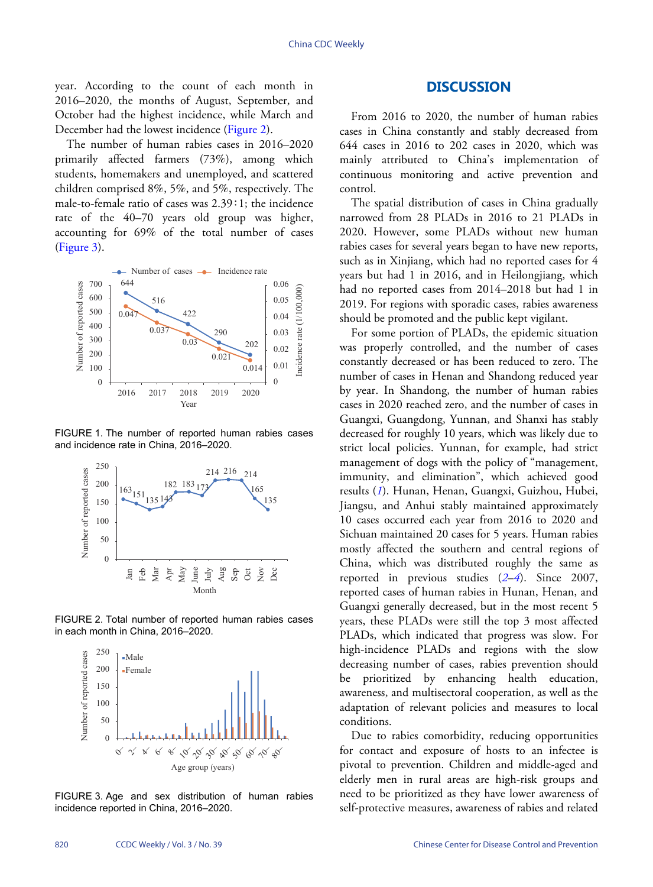year. According to the count of each month in 2016–2020, the months of August, September, and October had the highest incidence, while March and December had the lowest incidence [\(Figure 2\)](#page-1-1).

The number of human rabies cases in 2016–2020 primarily affected farmers (73%), among which students, homemakers and unemployed, and scattered children comprised 8%, 5%, and 5%, respectively. The male-to-female ratio of cases was 2.39∶1; the incidence rate of the 40–70 years old group was higher, accounting for 69% of the total number of cases ([Figure 3](#page-1-2)).

<span id="page-1-0"></span>

FIGURE 1. The number of reported human rabies cases and incidence rate in China, 2016–2020.

<span id="page-1-1"></span>

FIGURE 2. Total number of reported human rabies cases in each month in China, 2016–2020.

<span id="page-1-2"></span>

FIGURE 3. Age and sex distribution of human rabies incidence reported in China, 2016–2020.

# **DISCUSSION**

From 2016 to 2020, the number of human rabies cases in China constantly and stably decreased from 644 cases in 2016 to 202 cases in 2020, which was mainly attributed to China's implementation of continuous monitoring and active prevention and control.

The spatial distribution of cases in China gradually narrowed from 28 PLADs in 2016 to 21 PLADs in 2020. However, some PLADs without new human rabies cases for several years began to have new reports, such as in Xinjiang, which had no reported cases for 4 years but had 1 in 2016, and in Heilongjiang, which had no reported cases from 2014–2018 but had 1 in 2019. For regions with sporadic cases, rabies awareness should be promoted and the public kept vigilant.

For some portion of PLADs, the epidemic situation was properly controlled, and the number of cases constantly decreased or has been reduced to zero. The number of cases in Henan and Shandong reduced year by year. In Shandong, the number of human rabies cases in 2020 reached zero, and the number of cases in Guangxi, Guangdong, Yunnan, and Shanxi has stably decreased for roughly 10 years, which was likely due to strict local policies. Yunnan, for example, had strict management of dogs with the policy of "management, immunity, and elimination", which achieved good results (*[1](#page-2-0)*). Hunan, Henan, Guangxi, Guizhou, Hubei, Jiangsu, and Anhui stably maintained approximately 10 cases occurred each year from 2016 to 2020 and Sichuan maintained 20 cases for 5 years. Human rabies mostly affected the southern and central regions of China, which was distributed roughly the same as reported in previous studies (*[2](#page-2-1)*–*[4](#page-2-2)*). Since 2007, reported cases of human rabies in Hunan, Henan, and Guangxi generally decreased, but in the most recent 5 years, these PLADs were still the top 3 most affected PLADs, which indicated that progress was slow. For high-incidence PLADs and regions with the slow decreasing number of cases, rabies prevention should be prioritized by enhancing health education, awareness, and multisectoral cooperation, as well as the adaptation of relevant policies and measures to local conditions.

Due to rabies comorbidity, reducing opportunities for contact and exposure of hosts to an infectee is pivotal to prevention. Children and middle-aged and elderly men in rural areas are high-risk groups and need to be prioritized as they have lower awareness of self-protective measures, awareness of rabies and related